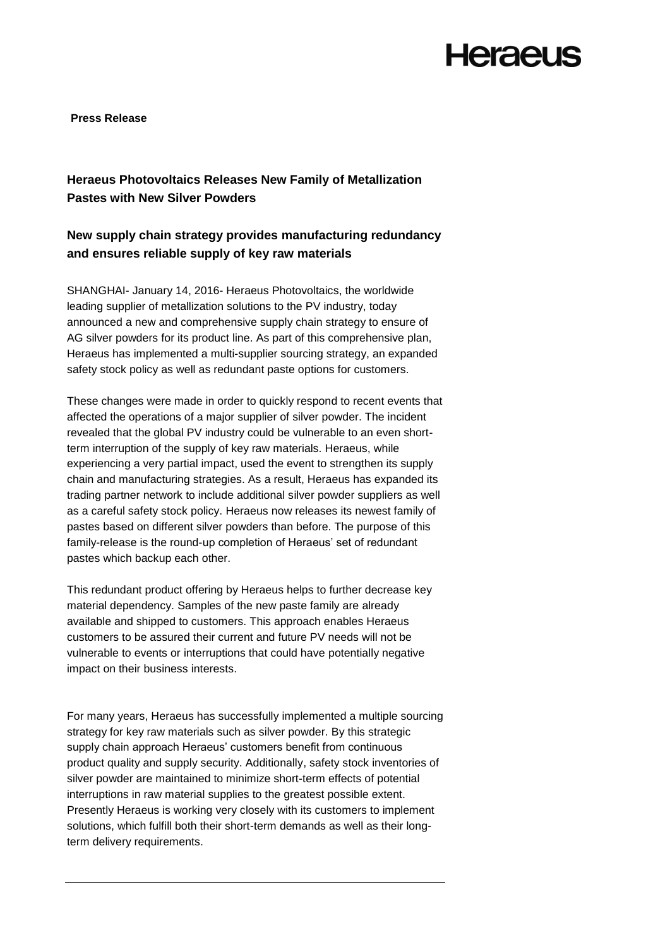## **Heraeus**

**Press Release**

## **Heraeus Photovoltaics Releases New Family of Metallization Pastes with New Silver Powders**

### **New supply chain strategy provides manufacturing redundancy and ensures reliable supply of key raw materials**

SHANGHAI- January 14, 2016- Heraeus Photovoltaics, the worldwide leading supplier of metallization solutions to the PV industry, today announced a new and comprehensive supply chain strategy to ensure of AG silver powders for its product line. As part of this comprehensive plan, Heraeus has implemented a multi-supplier sourcing strategy, an expanded safety stock policy as well as redundant paste options for customers.

These changes were made in order to quickly respond to recent events that affected the operations of a major supplier of silver powder. The incident revealed that the global PV industry could be vulnerable to an even shortterm interruption of the supply of key raw materials. Heraeus, while experiencing a very partial impact, used the event to strengthen its supply chain and manufacturing strategies. As a result, Heraeus has expanded its trading partner network to include additional silver powder suppliers as well as a careful safety stock policy. Heraeus now releases its newest family of pastes based on different silver powders than before. The purpose of this family-release is the round-up completion of Heraeus' set of redundant pastes which backup each other.

This redundant product offering by Heraeus helps to further decrease key material dependency. Samples of the new paste family are already available and shipped to customers. This approach enables Heraeus customers to be assured their current and future PV needs will not be vulnerable to events or interruptions that could have potentially negative impact on their business interests.

For many years, Heraeus has successfully implemented a multiple sourcing strategy for key raw materials such as silver powder. By this strategic supply chain approach Heraeus' customers benefit from continuous product quality and supply security. Additionally, safety stock inventories of silver powder are maintained to minimize short-term effects of potential interruptions in raw material supplies to the greatest possible extent. Presently Heraeus is working very closely with its customers to implement solutions, which fulfill both their short-term demands as well as their longterm delivery requirements.